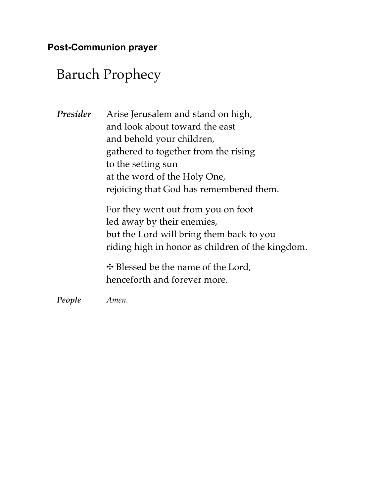# Baruch Prophecy

*Presider* Arise Jerusalem and stand on high, and look about toward the east and behold your children, gathered to together from the rising to the setting sun at the word of the Holy One, rejoicing that God has remembered them.

> For they went out from you on foot led away by their enemies, but the Lord will bring them back to you riding high in honor as children of the kingdom.

✥ Blessed be the name of the Lord, henceforth and forever more.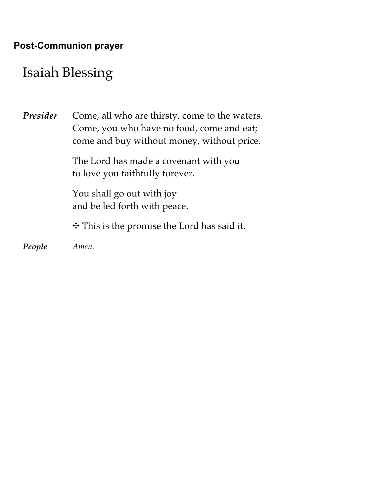## Isaiah Blessing

**Presider** Come, all who are thirsty, come to the waters. Come, you who have no food, come and eat; come and buy without money, without price.

> The Lord has made a covenant with you to love you faithfully forever.

You shall go out with joy and be led forth with peace.

✥ This is the promise the Lord has said it.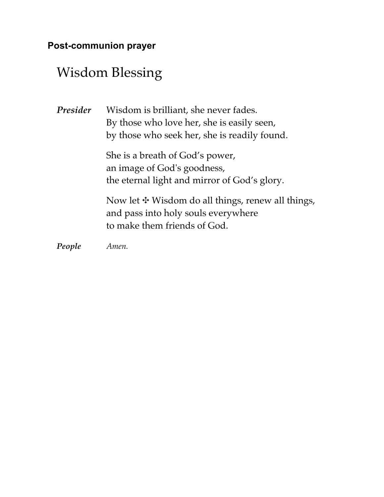#### **Post-communion prayer**

# Wisdom Blessing

| Presider | Wisdom is brilliant, she never fades.<br>By those who love her, she is easily seen,<br>by those who seek her, she is readily found. |
|----------|-------------------------------------------------------------------------------------------------------------------------------------|
|          | She is a breath of God's power,<br>an image of God's goodness,<br>the eternal light and mirror of God's glory.                      |
|          | Now let $\ddagger$ Wisdom do all things, renew all things,<br>and pass into holy souls everywhere<br>to make them friends of God.   |
| People   | Amen.                                                                                                                               |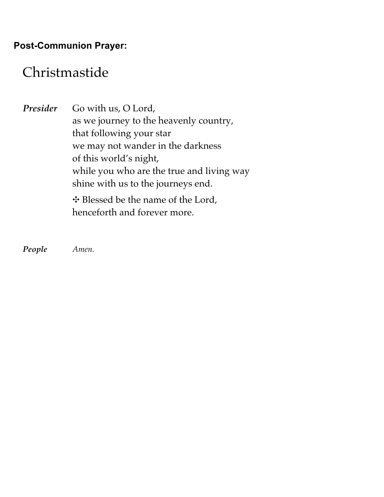## Christmastide

Presider Go with us, O Lord, as we journey to the heavenly country, that following your star we may not wander in the darkness of this world's night, while you who are the true and living way shine with us to the journeys end. ✥ Blessed be the name of the Lord, henceforth and forever more.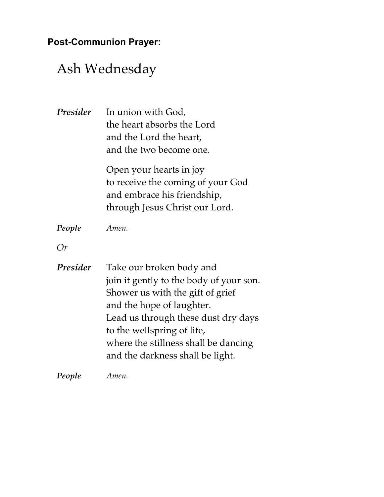# Ash Wednesday

| Presider | In union with God,<br>the heart absorbs the Lord<br>and the Lord the heart,<br>and the two become one.                                                                                                                                                                                |
|----------|---------------------------------------------------------------------------------------------------------------------------------------------------------------------------------------------------------------------------------------------------------------------------------------|
|          | Open your hearts in joy<br>to receive the coming of your God<br>and embrace his friendship,<br>through Jesus Christ our Lord.                                                                                                                                                         |
| People   | Amen.                                                                                                                                                                                                                                                                                 |
| Or       |                                                                                                                                                                                                                                                                                       |
| Presider | Take our broken body and<br>join it gently to the body of your son.<br>Shower us with the gift of grief<br>and the hope of laughter.<br>Lead us through these dust dry days<br>to the wellspring of life,<br>where the stillness shall be dancing<br>and the darkness shall be light. |
| People   | Amen.                                                                                                                                                                                                                                                                                 |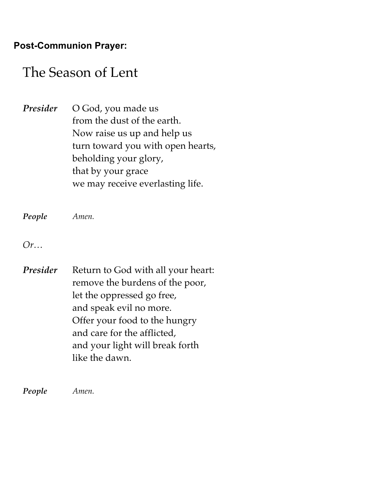## The Season of Lent

Presider O God, you made us from the dust of the earth. Now raise us up and help us turn toward you with open hearts, beholding your glory, that by your grace we may receive everlasting life.

*People Amen.*

*Or…*

**Presider** Return to God with all your heart: remove the burdens of the poor, let the oppressed go free, and speak evil no more. Offer your food to the hungry and care for the afflicted, and your light will break forth like the dawn.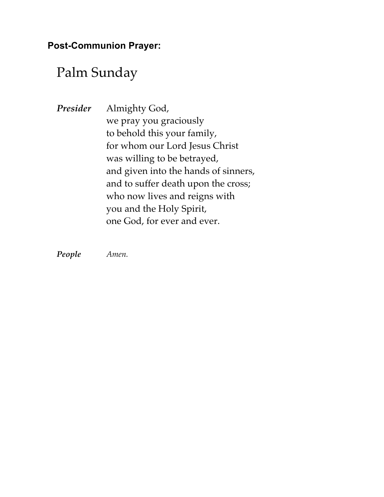## Palm Sunday

*Presider* Almighty God, we pray you graciously to behold this your family, for whom our Lord Jesus Christ was willing to be betrayed, and given into the hands of sinners, and to suffer death upon the cross; who now lives and reigns with you and the Holy Spirit, one God, for ever and ever.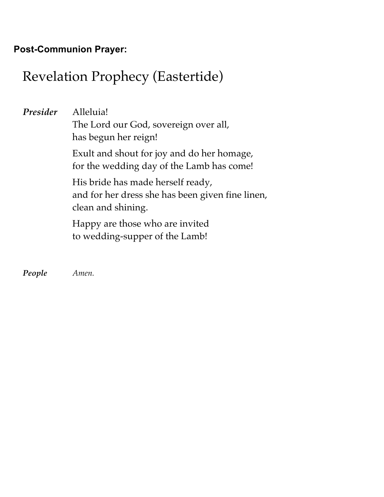# Revelation Prophecy (Eastertide)

*Presider* Alleluia! The Lord our God, sovereign over all, has begun her reign! Exult and shout for joy and do her homage, for the wedding day of the Lamb has come! His bride has made herself ready, and for her dress she has been given fine linen, clean and shining. Happy are those who are invited to wedding-supper of the Lamb!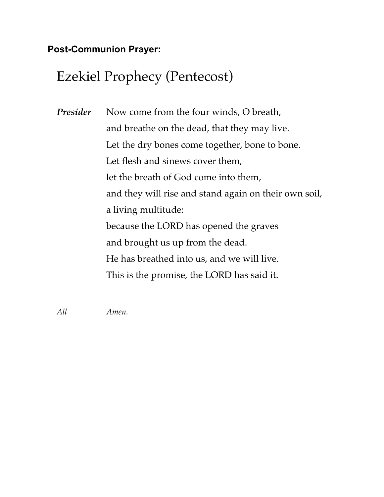# Ezekiel Prophecy (Pentecost)

*Presider* Now come from the four winds, O breath, and breathe on the dead, that they may live. Let the dry bones come together, bone to bone. Let flesh and sinews cover them, let the breath of God come into them, and they will rise and stand again on their own soil, a living multitude: because the LORD has opened the graves and brought us up from the dead. He has breathed into us, and we will live. This is the promise, the LORD has said it.

*All Amen.*